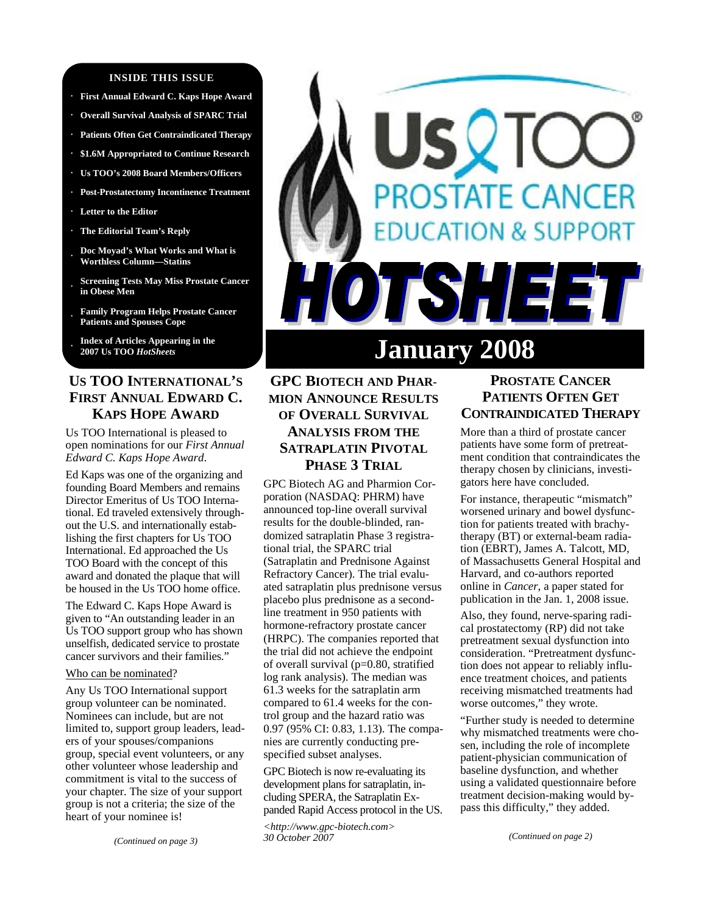#### **INSIDE THIS ISSUE**

- **· First Annual Edward C. Kaps Hope Award**
- **· Overall Survival Analysis of SPARC Trial**
- **· Patients Often Get Contraindicated Therapy**
- **· \$1.6M Appropriated to Continue Research**
- **· Us TOO's 2008 Board Members/Officers**
- **· Post-Prostatectomy Incontinence Treatment**
- **· Letter to the Editor**
- **· The Editorial Team's Reply**
- **· Doc Moyad's What Works and What is Worthless Column—Statins**
- **· Screening Tests May Miss Prostate Cancer in Obese Men**
- **· Family Program Helps Prostate Cancer Patients and Spouses Cope**
- **· Index of Articles Appearing in the 2007 Us TOO** *HotSheets*

# **US TOO INTERNATIONAL'S FIRST ANNUAL EDWARD C. KAPS HOPE AWARD**

Us TOO International is pleased to open nominations for our *First Annual Edward C. Kaps Hope Award*.

Ed Kaps was one of the organizing and founding Board Members and remains Director Emeritus of Us TOO International. Ed traveled extensively throughout the U.S. and internationally establishing the first chapters for Us TOO International. Ed approached the Us TOO Board with the concept of this award and donated the plaque that will be housed in the Us TOO home office.

The Edward C. Kaps Hope Award is given to "An outstanding leader in an Us TOO support group who has shown unselfish, dedicated service to prostate cancer survivors and their families."

#### Who can be nominated?

Any Us TOO International support group volunteer can be nominated. Nominees can include, but are not limited to, support group leaders, leaders of your spouses/companions group, special event volunteers, or any other volunteer whose leadership and commitment is vital to the success of your chapter. The size of your support group is not a criteria; the size of the heart of your nominee is!

*(Continued on page 3)* 

# STATE CANCER **ON & SUPPORT** 17 I 2 E **January 2008**

# **GPC BIOTECH AND PHAR-MION ANNOUNCE RESULTS OF OVERALL SURVIVAL ANALYSIS FROM THE SATRAPLATIN PIVOTAL PHASE 3 TRIAL**

GPC Biotech AG and Pharmion Corporation (NASDAQ: PHRM) have announced top-line overall survival results for the double-blinded, randomized satraplatin Phase 3 registrational trial, the SPARC trial (Satraplatin and Prednisone Against Refractory Cancer). The trial evaluated satraplatin plus prednisone versus placebo plus prednisone as a secondline treatment in 950 patients with hormone-refractory prostate cancer (HRPC). The companies reported that the trial did not achieve the endpoint of overall survival (p=0.80, stratified log rank analysis). The median was 61.3 weeks for the satraplatin arm compared to 61.4 weeks for the control group and the hazard ratio was 0.97 (95% CI: 0.83, 1.13). The companies are currently conducting prespecified subset analyses.

GPC Biotech is now re-evaluating its development plans for satraplatin, including SPERA, the Satraplatin Expanded Rapid Access protocol in the US.

*<http://www.gpc-biotech.com> 30 October 2007* 

# **PROSTATE CANCER PATIENTS OFTEN GET CONTRAINDICATED THERAPY**

More than a third of prostate cancer patients have some form of pretreatment condition that contraindicates the therapy chosen by clinicians, investigators here have concluded.

For instance, therapeutic "mismatch" worsened urinary and bowel dysfunction for patients treated with brachytherapy (BT) or external-beam radiation (EBRT), James A. Talcott, MD, of Massachusetts General Hospital and Harvard, and co-authors reported online in *Cancer*, a paper stated for publication in the Jan. 1, 2008 issue.

Also, they found, nerve-sparing radical prostatectomy (RP) did not take pretreatment sexual dysfunction into consideration. "Pretreatment dysfunction does not appear to reliably influence treatment choices, and patients receiving mismatched treatments had worse outcomes," they wrote.

"Further study is needed to determine why mismatched treatments were chosen, including the role of incomplete patient-physician communication of baseline dysfunction, and whether using a validated questionnaire before treatment decision-making would bypass this difficulty," they added.

*(Continued on page 2)*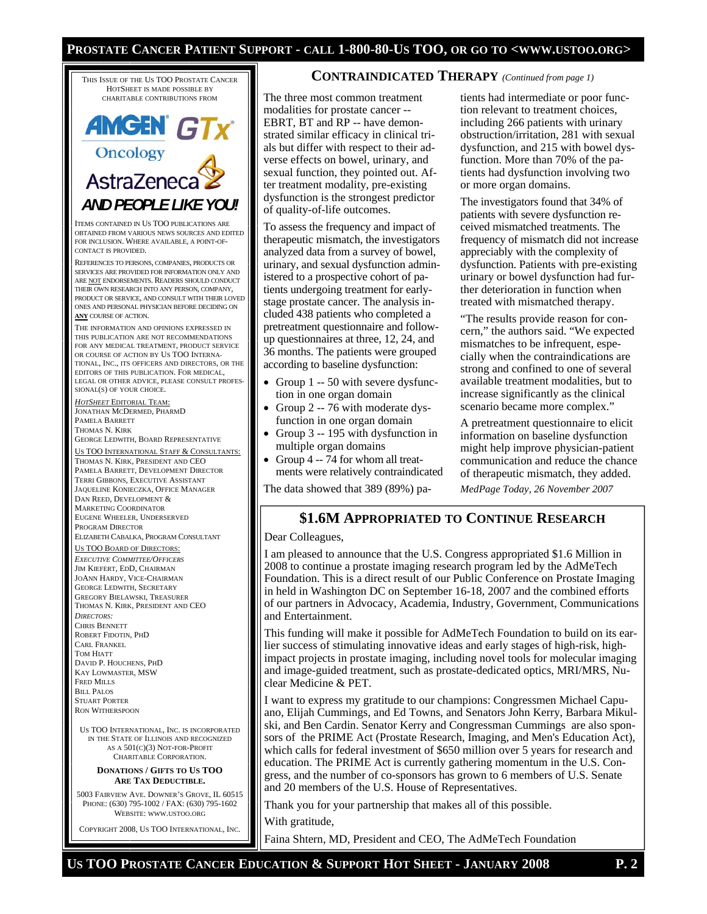#### **PROSTATE CANCER PATIENT SUPPORT - CALL 1-800-80-US TOO, OR GO TO <WWW.USTOO.ORG>**

THIS ISSUE OF THE US TOO PROSTATE CANCER HOTSHEET IS MADE POSSIBLE BY CHARITABLE CONTRIBUTIONS FROM

# **AMGEN GTX** Oncology AstraZeneca *AND PEOPLE LIKE YOU!*

ITEMS CONTAINED IN US TOO PUBLICATIONS ARE OBTAINED FROM VARIOUS NEWS SOURCES AND EDITED FOR INCLUSION. WHERE AVAILABLE, A POINT-OF-CONTACT IS PROVIDED.

REFERENCES TO PERSONS, COMPANIES, PRODUCTS OR SERVICES ARE PROVIDED FOR INFORMATION ONLY AND ARE NOT ENDORSEMENTS. READERS SHOULD CONDUCT THEIR OWN RESEARCH INTO ANY PERSON, COMPANY, PRODUCT OR SERVICE, AND CONSULT WITH THEIR LOVED ONES AND PERSONAL PHYSICIAN BEFORE DECIDING ON **ANY** COURSE OF ACTION.

THE INFORMATION AND OPINIONS EXPRESSED IN THIS PUBLICATION ARE NOT RECOMMENDATIONS FOR ANY MEDICAL TREATMENT, PRODUCT SERVICE OR COURSE OF ACTION BY US TOO INTERNA-TIONAL, INC., ITS OFFICERS AND DIRECTORS, OR THE EDITORS OF THIS PUBLICATION. FOR MEDICAL, LEGAL OR OTHER ADVICE, PLEASE CONSULT PROFES-SIONAL(S) OF YOUR CHOICE.

*HOTSHEET* EDITORIAL TEAM: JONATHAN MCDERMED, PHARMD PAMELA BARRETT THOMAS N. KIRK GEORGE LEDWITH, BOARD REPRESENTATIVE

US TOO INTERNATIONAL STAFF & CONSULTANTS:

THOMAS N. KIRK, PRESIDENT AND CEO PAMELA BARRETT, DEVELOPMENT DIRECTOR TERRI GIBBONS, EXECUTIVE ASSISTANT JAQUELINE KONIECZKA, OFFICE MANAGER DAN REED, DEVELOPMENT & MARKETING COORDINATOR EUGENE WHEELER, UNDERSERVED PROGRAM DIRECTOR ELIZABETH CABALKA, PROGRAM CONSULTANT US TOO BOARD OF DIRECTORS:

*EXECUTIVE COMMITTEE/OFFICERS* JIM KIEFERT, EDD, CHAIRMAN JOANN HARDY, VICE-CHAIRMAN GEORGE LEDWITH, SECRETARY GREGORY BIELAWSKI, TREASURER THOMAS N. KIRK, PRESIDENT AND CEO *DIRECTORS:*  CHRIS BENNETT ROBERT FIDOTIN, PHD CARL FRANKEL TOM HIATT DAVID P. HOUCHENS, PHD KAY LOWMASTER, MSW FRED MILLS BILL PALOS STUART PORTER RON WITHERSPOON

US TOO INTERNATIONAL, INC. IS INCORPORATED IN THE STATE OF ILLINOIS AND RECOGNIZED AS A 501(C)(3) NOT-FOR-PROFIT CHARITABLE CORPORATION.

#### **DONATIONS / GIFTS TO US TOO ARE TAX DEDUCTIBLE.**

5003 FAIRVIEW AVE. DOWNER'S GROVE, IL 60515 PHONE: (630) 795-1002 / FAX: (630) 795-1602 WEBSITE: WWW.USTOO.ORG

COPYRIGHT 2008, US TOO INTERNATIONAL, INC.

#### **CONTRAINDICATED THERAPY** *(Continued from page 1)*

The three most common treatment modalities for prostate cancer -- EBRT, BT and RP -- have demonstrated similar efficacy in clinical trials but differ with respect to their adverse effects on bowel, urinary, and sexual function, they pointed out. After treatment modality, pre-existing dysfunction is the strongest predictor of quality-of-life outcomes.

To assess the frequency and impact of therapeutic mismatch, the investigators analyzed data from a survey of bowel, urinary, and sexual dysfunction administered to a prospective cohort of patients undergoing treatment for earlystage prostate cancer. The analysis included 438 patients who completed a pretreatment questionnaire and followup questionnaires at three, 12, 24, and 36 months. The patients were grouped according to baseline dysfunction:

- Group 1 -- 50 with severe dysfunction in one organ domain
- Group 2 -- 76 with moderate dysfunction in one organ domain
- Group 3 -- 195 with dysfunction in multiple organ domains
- Group 4 -- 74 for whom all treatments were relatively contraindicated

The data showed that 389 (89%) pa-

tients had intermediate or poor function relevant to treatment choices, including 266 patients with urinary obstruction/irritation, 281 with sexual dysfunction, and 215 with bowel dysfunction. More than 70% of the patients had dysfunction involving two or more organ domains.

The investigators found that 34% of patients with severe dysfunction received mismatched treatments. The frequency of mismatch did not increase appreciably with the complexity of dysfunction. Patients with pre-existing urinary or bowel dysfunction had further deterioration in function when treated with mismatched therapy.

"The results provide reason for concern," the authors said. "We expected mismatches to be infrequent, especially when the contraindications are strong and confined to one of several available treatment modalities, but to increase significantly as the clinical scenario became more complex."

A pretreatment questionnaire to elicit information on baseline dysfunction might help improve physician-patient communication and reduce the chance of therapeutic mismatch, they added.

*MedPage Today, 26 November 2007* 

### **\$1.6M APPROPRIATED TO CONTINUE RESEARCH**

#### Dear Colleagues,

I am pleased to announce that the U.S. Congress appropriated \$1.6 Million in 2008 to continue a prostate imaging research program led by the AdMeTech Foundation. This is a direct result of our Public Conference on Prostate Imaging in held in Washington DC on September 16-18, 2007 and the combined efforts of our partners in Advocacy, Academia, Industry, Government, Communications and Entertainment.

This funding will make it possible for AdMeTech Foundation to build on its earlier success of stimulating innovative ideas and early stages of high-risk, highimpact projects in prostate imaging, including novel tools for molecular imaging and image-guided treatment, such as prostate-dedicated optics, MRI/MRS, Nuclear Medicine & PET.

I want to express my gratitude to our champions: Congressmen Michael Capuano, Elijah Cummings, and Ed Towns, and Senators John Kerry, Barbara Mikulski, and Ben Cardin. Senator Kerry and Congressman Cummings are also sponsors of the PRIME Act (Prostate Research, Imaging, and Men's Education Act), which calls for federal investment of \$650 million over 5 years for research and education. The PRIME Act is currently gathering momentum in the U.S. Congress, and the number of co-sponsors has grown to 6 members of U.S. Senate and 20 members of the U.S. House of Representatives.

Thank you for your partnership that makes all of this possible.

With gratitude,

Faina Shtern, MD, President and CEO, The AdMeTech Foundation

**US TOO PROSTATE CANCER EDUCATION & SUPPORT HOT SHEET - JANUARY 2008 P. 2**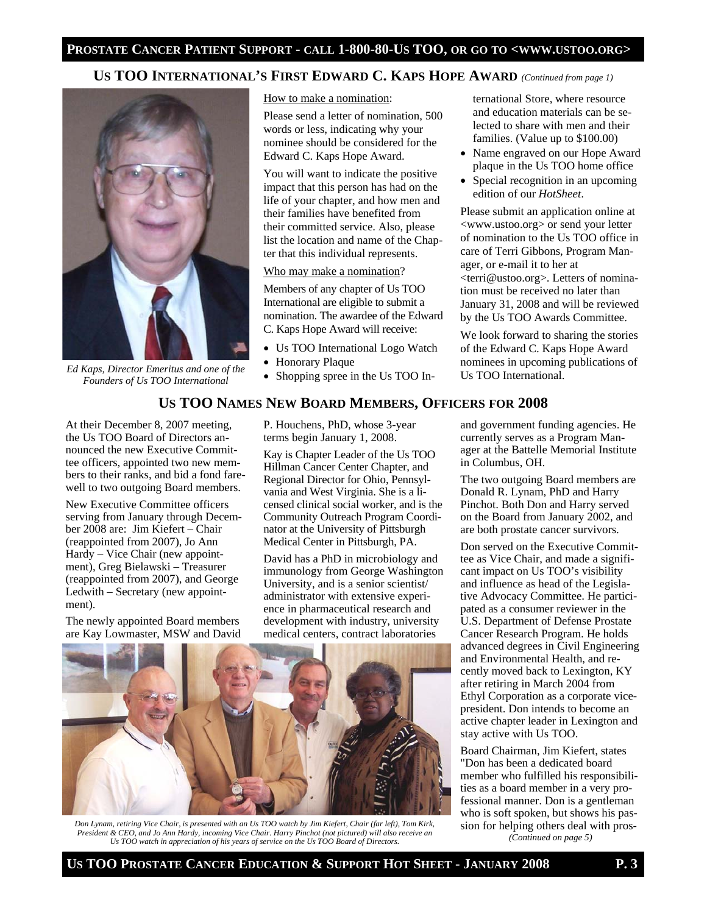# **US TOO INTERNATIONAL'S FIRST EDWARD C. KAPS HOPE AWARD** *(Continued from page 1)*



*Ed Kaps, Director Emeritus and one of the Founders of Us TOO International* 

How to make a nomination:

Please send a letter of nomination, 500 words or less, indicating why your nominee should be considered for the Edward C. Kaps Hope Award.

You will want to indicate the positive impact that this person has had on the life of your chapter, and how men and their families have benefited from their committed service. Also, please list the location and name of the Chapter that this individual represents.

#### Who may make a nomination?

Members of any chapter of Us TOO International are eligible to submit a nomination. The awardee of the Edward C. Kaps Hope Award will receive:

- Us TOO International Logo Watch
- Honorary Plaque
- Shopping spree in the Us TOO In-

ternational Store, where resource and education materials can be selected to share with men and their families. (Value up to \$100.00)

- Name engraved on our Hope Award plaque in the Us TOO home office
- Special recognition in an upcoming edition of our *HotSheet*.

Please submit an application online at <www.ustoo.org> or send your letter of nomination to the Us TOO office in care of Terri Gibbons, Program Manager, or e-mail it to her at <terri@ustoo.org>. Letters of nomination must be received no later than January 31, 2008 and will be reviewed by the Us TOO Awards Committee.

We look forward to sharing the stories of the Edward C. Kaps Hope Award nominees in upcoming publications of Us TOO International.

#### **US TOO NAMES NEW BOARD MEMBERS, OFFICERS FOR 2008**

At their December 8, 2007 meeting, the Us TOO Board of Directors announced the new Executive Committee officers, appointed two new members to their ranks, and bid a fond farewell to two outgoing Board members.

New Executive Committee officers serving from January through December 2008 are: Jim Kiefert – Chair (reappointed from 2007), Jo Ann Hardy – Vice Chair (new appointment), Greg Bielawski – Treasurer (reappointed from 2007), and George Ledwith – Secretary (new appointment).

The newly appointed Board members are Kay Lowmaster, MSW and David P. Houchens, PhD, whose 3-year terms begin January 1, 2008.

Kay is Chapter Leader of the Us TOO Hillman Cancer Center Chapter, and Regional Director for Ohio, Pennsylvania and West Virginia. She is a licensed clinical social worker, and is the Community Outreach Program Coordinator at the University of Pittsburgh Medical Center in Pittsburgh, PA.

David has a PhD in microbiology and immunology from George Washington University, and is a senior scientist/ administrator with extensive experience in pharmaceutical research and development with industry, university medical centers, contract laboratories



*Don Lynam, retiring Vice Chair, is presented with an Us TOO watch by Jim Kiefert, Chair (far left), Tom Kirk, President & CEO, and Jo Ann Hardy, incoming Vice Chair. Harry Pinchot (not pictured) will also receive an Us TOO watch in appreciation of his years of service on the Us TOO Board of Directors.* 

and government funding agencies. He currently serves as a Program Manager at the Battelle Memorial Institute in Columbus, OH.

The two outgoing Board members are Donald R. Lynam, PhD and Harry Pinchot. Both Don and Harry served on the Board from January 2002, and are both prostate cancer survivors.

Don served on the Executive Committee as Vice Chair, and made a significant impact on Us TOO's visibility and influence as head of the Legislative Advocacy Committee. He participated as a consumer reviewer in the U.S. Department of Defense Prostate Cancer Research Program. He holds advanced degrees in Civil Engineering and Environmental Health, and recently moved back to Lexington, KY after retiring in March 2004 from Ethyl Corporation as a corporate vicepresident. Don intends to become an active chapter leader in Lexington and stay active with Us TOO.

Board Chairman, Jim Kiefert, states "Don has been a dedicated board member who fulfilled his responsibilities as a board member in a very professional manner. Don is a gentleman who is soft spoken, but shows his passion for helping others deal with pros- *(Continued on page 5)*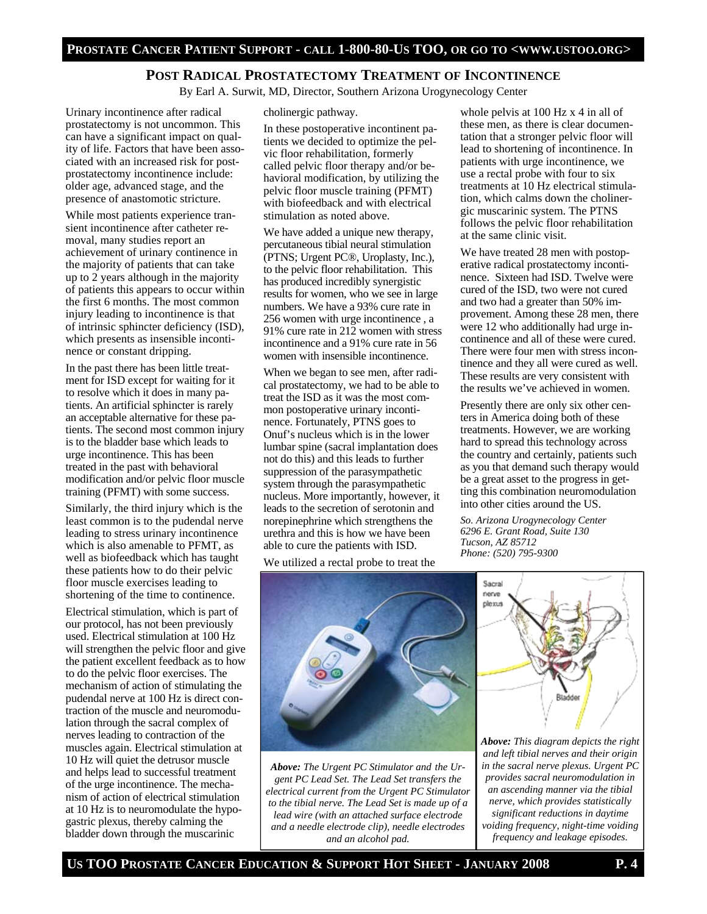#### **POST RADICAL PROSTATECTOMY TREATMENT OF INCONTINENCE**

By Earl A. Surwit, MD, Director, Southern Arizona Urogynecology Center

Urinary incontinence after radical prostatectomy is not uncommon. This can have a significant impact on quality of life. Factors that have been associated with an increased risk for postprostatectomy incontinence include: older age, advanced stage, and the presence of anastomotic stricture.

While most patients experience transient incontinence after catheter removal, many studies report an achievement of urinary continence in the majority of patients that can take up to 2 years although in the majority of patients this appears to occur within the first 6 months. The most common injury leading to incontinence is that of intrinsic sphincter deficiency (ISD), which presents as insensible incontinence or constant dripping.

In the past there has been little treatment for ISD except for waiting for it to resolve which it does in many patients. An artificial sphincter is rarely an acceptable alternative for these patients. The second most common injury is to the bladder base which leads to urge incontinence. This has been treated in the past with behavioral modification and/or pelvic floor muscle training (PFMT) with some success.

Similarly, the third injury which is the least common is to the pudendal nerve leading to stress urinary incontinence which is also amenable to PFMT, as well as biofeedback which has taught these patients how to do their pelvic floor muscle exercises leading to shortening of the time to continence.

Electrical stimulation, which is part of our protocol, has not been previously used. Electrical stimulation at 100 Hz will strengthen the pelvic floor and give the patient excellent feedback as to how to do the pelvic floor exercises. The mechanism of action of stimulating the pudendal nerve at 100 Hz is direct contraction of the muscle and neuromodulation through the sacral complex of nerves leading to contraction of the muscles again. Electrical stimulation at 10 Hz will quiet the detrusor muscle and helps lead to successful treatment of the urge incontinence. The mechanism of action of electrical stimulation at 10 Hz is to neuromodulate the hypogastric plexus, thereby calming the bladder down through the muscarinic

#### cholinergic pathway.

In these postoperative incontinent patients we decided to optimize the pelvic floor rehabilitation, formerly called pelvic floor therapy and/or behavioral modification, by utilizing the pelvic floor muscle training (PFMT) with biofeedback and with electrical stimulation as noted above.

We have added a unique new therapy, percutaneous tibial neural stimulation (PTNS; Urgent PC®, Uroplasty, Inc.), to the pelvic floor rehabilitation. This has produced incredibly synergistic results for women, who we see in large numbers. We have a 93% cure rate in 256 women with urge incontinence , a 91% cure rate in 212 women with stress incontinence and a 91% cure rate in 56 women with insensible incontinence.

When we began to see men, after radical prostatectomy, we had to be able to treat the ISD as it was the most common postoperative urinary incontinence. Fortunately, PTNS goes to Onuf's nucleus which is in the lower lumbar spine (sacral implantation does not do this) and this leads to further suppression of the parasympathetic system through the parasympathetic nucleus. More importantly, however, it leads to the secretion of serotonin and norepinephrine which strengthens the urethra and this is how we have been able to cure the patients with ISD.

We utilized a rectal probe to treat the



*Above: The Urgent PC Stimulator and the Urgent PC Lead Set. The Lead Set transfers the electrical current from the Urgent PC Stimulator to the tibial nerve. The Lead Set is made up of a lead wire (with an attached surface electrode and a needle electrode clip), needle electrodes and an alcohol pad.* 

whole pelvis at 100 Hz x 4 in all of these men, as there is clear documentation that a stronger pelvic floor will lead to shortening of incontinence. In patients with urge incontinence, we use a rectal probe with four to six treatments at 10 Hz electrical stimulation, which calms down the cholinergic muscarinic system. The PTNS follows the pelvic floor rehabilitation at the same clinic visit.

We have treated 28 men with postoperative radical prostatectomy incontinence. Sixteen had ISD. Twelve were cured of the ISD, two were not cured and two had a greater than 50% improvement. Among these 28 men, there were 12 who additionally had urge incontinence and all of these were cured. There were four men with stress incontinence and they all were cured as well. These results are very consistent with the results we've achieved in women.

Presently there are only six other centers in America doing both of these treatments. However, we are working hard to spread this technology across the country and certainly, patients such as you that demand such therapy would be a great asset to the progress in getting this combination neuromodulation into other cities around the US.

*So. Arizona Urogynecology Center 6296 E. Grant Road, Suite 130 Tucson, AZ 85712 Phone: (520) 795-9300* 



*Above: This diagram depicts the right and left tibial nerves and their origin in the sacral nerve plexus. Urgent PC provides sacral neuromodulation in an ascending manner via the tibial nerve, which provides statistically significant reductions in daytime voiding frequency, night-time voiding frequency and leakage episodes.*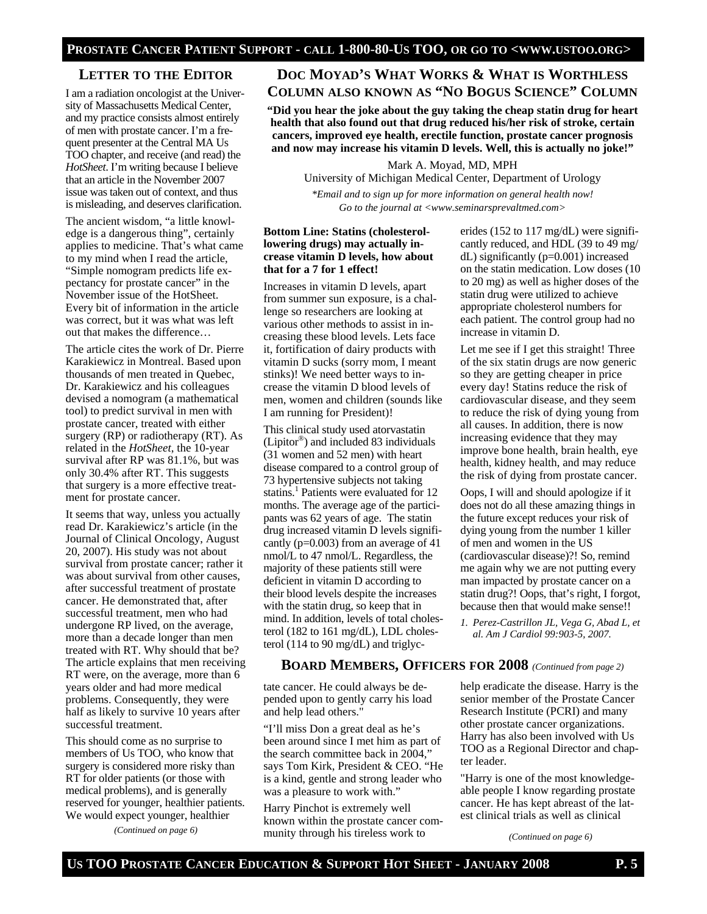#### **LETTER TO THE EDITOR**

I am a radiation oncologist at the University of Massachusetts Medical Center, and my practice consists almost entirely of men with prostate cancer. I'm a frequent presenter at the Central MA Us TOO chapter, and receive (and read) the *HotSheet*. I'm writing because I believe that an article in the November 2007 issue was taken out of context, and thus is misleading, and deserves clarification.

The ancient wisdom, "a little knowledge is a dangerous thing", certainly applies to medicine. That's what came to my mind when I read the article, "Simple nomogram predicts life expectancy for prostate cancer" in the November issue of the HotSheet. Every bit of information in the article was correct, but it was what was left out that makes the difference…

The article cites the work of Dr. Pierre Karakiewicz in Montreal. Based upon thousands of men treated in Quebec, Dr. Karakiewicz and his colleagues devised a nomogram (a mathematical tool) to predict survival in men with prostate cancer, treated with either surgery (RP) or radiotherapy (RT). As related in the *HotSheet*, the 10-year survival after RP was 81.1%, but was only 30.4% after RT. This suggests that surgery is a more effective treatment for prostate cancer.

It seems that way, unless you actually read Dr. Karakiewicz's article (in the Journal of Clinical Oncology, August 20, 2007). His study was not about survival from prostate cancer; rather it was about survival from other causes, after successful treatment of prostate cancer. He demonstrated that, after successful treatment, men who had undergone RP lived, on the average, more than a decade longer than men treated with RT. Why should that be? The article explains that men receiving RT were, on the average, more than 6 years older and had more medical problems. Consequently, they were half as likely to survive 10 years after successful treatment.

This should come as no surprise to members of Us TOO, who know that surgery is considered more risky than RT for older patients (or those with medical problems), and is generally reserved for younger, healthier patients. We would expect younger, healthier

*(Continued on page 6)* 

# **DOC MOYAD'S WHAT WORKS & WHAT IS WORTHLESS COLUMN ALSO KNOWN AS "NO BOGUS SCIENCE" COLUMN**

**"Did you hear the joke about the guy taking the cheap statin drug for heart health that also found out that drug reduced his/her risk of stroke, certain cancers, improved eye health, erectile function, prostate cancer prognosis and now may increase his vitamin D levels. Well, this is actually no joke!"** 

Mark A. Moyad, MD, MPH

University of Michigan Medical Center, Department of Urology

*\*Email and to sign up for more information on general health now! Go to the journal at <www.seminarsprevaltmed.com>* 

#### **Bottom Line: Statins (cholesterollowering drugs) may actually increase vitamin D levels, how about that for a 7 for 1 effect!**

Increases in vitamin D levels, apart from summer sun exposure, is a challenge so researchers are looking at various other methods to assist in increasing these blood levels. Lets face it, fortification of dairy products with vitamin D sucks (sorry mom, I meant stinks)! We need better ways to increase the vitamin D blood levels of men, women and children (sounds like I am running for President)!

This clinical study used atorvastatin (Lipitor®) and included 83 individuals (31 women and 52 men) with heart disease compared to a control group of 73 hypertensive subjects not taking statins.<sup>1</sup> Patients were evaluated for 12 months. The average age of the participants was 62 years of age. The statin drug increased vitamin D levels significantly (p=0.003) from an average of 41 nmol/L to 47 nmol/L. Regardless, the majority of these patients still were deficient in vitamin D according to their blood levels despite the increases with the statin drug, so keep that in mind. In addition, levels of total cholesterol (182 to 161 mg/dL), LDL cholesterol (114 to 90 mg/dL) and triglyc-

erides (152 to 117 mg/dL) were significantly reduced, and HDL (39 to 49 mg/ dL) significantly (p=0.001) increased on the statin medication. Low doses (10 to 20 mg) as well as higher doses of the statin drug were utilized to achieve appropriate cholesterol numbers for each patient. The control group had no increase in vitamin D.

Let me see if I get this straight! Three of the six statin drugs are now generic so they are getting cheaper in price every day! Statins reduce the risk of cardiovascular disease, and they seem to reduce the risk of dying young from all causes. In addition, there is now increasing evidence that they may improve bone health, brain health, eye health, kidney health, and may reduce the risk of dying from prostate cancer.

Oops, I will and should apologize if it does not do all these amazing things in the future except reduces your risk of dying young from the number 1 killer of men and women in the US (cardiovascular disease)?! So, remind me again why we are not putting every man impacted by prostate cancer on a statin drug?! Oops, that's right, I forgot, because then that would make sense!!

*1. Perez-Castrillon JL, Vega G, Abad L, et al. Am J Cardiol 99:903-5, 2007.* 

#### **BOARD MEMBERS, OFFICERS FOR 2008** *(Continued from page 2)*

tate cancer. He could always be depended upon to gently carry his load and help lead others."

"I'll miss Don a great deal as he's been around since I met him as part of the search committee back in 2004," says Tom Kirk, President & CEO. "He is a kind, gentle and strong leader who was a pleasure to work with."

Harry Pinchot is extremely well known within the prostate cancer community through his tireless work to

help eradicate the disease. Harry is the senior member of the Prostate Cancer Research Institute (PCRI) and many other prostate cancer organizations. Harry has also been involved with Us TOO as a Regional Director and chapter leader.

"Harry is one of the most knowledgeable people I know regarding prostate cancer. He has kept abreast of the latest clinical trials as well as clinical

*(Continued on page 6)*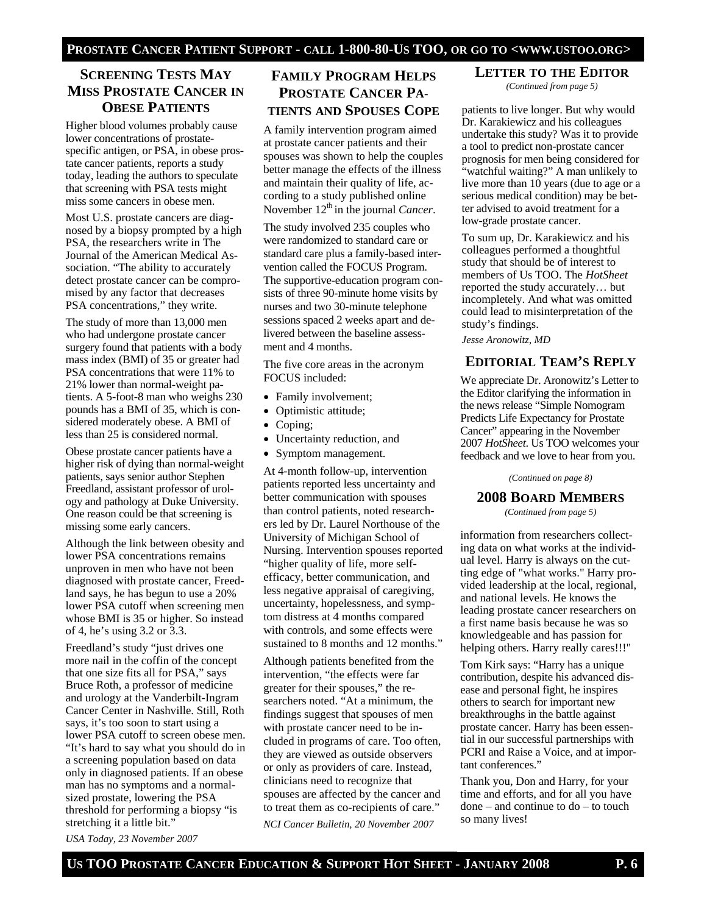# **SCREENING TESTS MAY MISS PROSTATE CANCER IN OBESE PATIENTS**

Higher blood volumes probably cause lower concentrations of prostatespecific antigen, or PSA, in obese prostate cancer patients, reports a study today, leading the authors to speculate that screening with PSA tests might miss some cancers in obese men.

Most U.S. prostate cancers are diagnosed by a biopsy prompted by a high PSA, the researchers write in The Journal of the American Medical Association. "The ability to accurately detect prostate cancer can be compromised by any factor that decreases PSA concentrations," they write.

The study of more than 13,000 men who had undergone prostate cancer surgery found that patients with a body mass index (BMI) of 35 or greater had PSA concentrations that were 11% to 21% lower than normal-weight patients. A 5-foot-8 man who weighs 230 pounds has a BMI of 35, which is considered moderately obese. A BMI of less than 25 is considered normal.

Obese prostate cancer patients have a higher risk of dying than normal-weight patients, says senior author Stephen Freedland, assistant professor of urology and pathology at Duke University. One reason could be that screening is missing some early cancers.

Although the link between obesity and lower PSA concentrations remains unproven in men who have not been diagnosed with prostate cancer, Freedland says, he has begun to use a 20% lower PSA cutoff when screening men whose BMI is 35 or higher. So instead of 4, he's using 3.2 or 3.3.

Freedland's study "just drives one more nail in the coffin of the concept that one size fits all for PSA," says Bruce Roth, a professor of medicine and urology at the Vanderbilt-Ingram Cancer Center in Nashville. Still, Roth says, it's too soon to start using a lower PSA cutoff to screen obese men. "It's hard to say what you should do in a screening population based on data only in diagnosed patients. If an obese man has no symptoms and a normalsized prostate, lowering the PSA threshold for performing a biopsy "is stretching it a little bit."

# **FAMILY PROGRAM HELPS PROSTATE CANCER PA-TIENTS AND SPOUSES COPE**

A family intervention program aimed at prostate cancer patients and their spouses was shown to help the couples better manage the effects of the illness and maintain their quality of life, according to a study published online November 12<sup>th</sup> in the journal *Cancer*.

The study involved 235 couples who were randomized to standard care or standard care plus a family-based intervention called the FOCUS Program. The supportive-education program consists of three 90-minute home visits by nurses and two 30-minute telephone sessions spaced 2 weeks apart and delivered between the baseline assessment and 4 months.

The five core areas in the acronym FOCUS included:

- Family involvement;
- Optimistic attitude;
- Coping;
- Uncertainty reduction, and
- Symptom management.

At 4-month follow-up, intervention patients reported less uncertainty and better communication with spouses than control patients, noted researchers led by Dr. Laurel Northouse of the University of Michigan School of Nursing. Intervention spouses reported "higher quality of life, more selfefficacy, better communication, and less negative appraisal of caregiving, uncertainty, hopelessness, and symptom distress at 4 months compared with controls, and some effects were sustained to 8 months and 12 months."

Although patients benefited from the intervention, "the effects were far greater for their spouses," the researchers noted. "At a minimum, the findings suggest that spouses of men with prostate cancer need to be included in programs of care. Too often, they are viewed as outside observers or only as providers of care. Instead, clinicians need to recognize that spouses are affected by the cancer and to treat them as co-recipients of care." *NCI Cancer Bulletin, 20 November 2007* 

**LETTER TO THE EDITOR**

*(Continued from page 5)* 

patients to live longer. But why would Dr. Karakiewicz and his colleagues undertake this study? Was it to provide a tool to predict non-prostate cancer prognosis for men being considered for "watchful waiting?" A man unlikely to live more than 10 years (due to age or a serious medical condition) may be better advised to avoid treatment for a low-grade prostate cancer.

To sum up, Dr. Karakiewicz and his colleagues performed a thoughtful study that should be of interest to members of Us TOO. The *HotSheet*  reported the study accurately… but incompletely. And what was omitted could lead to misinterpretation of the study's findings.

*Jesse Aronowitz, MD* 

# **EDITORIAL TEAM'S REPLY**

We appreciate Dr. Aronowitz's Letter to the Editor clarifying the information in the news release "Simple Nomogram Predicts Life Expectancy for Prostate Cancer" appearing in the November 2007 *HotSheet*. Us TOO welcomes your feedback and we love to hear from you.

*(Continued on page 8)* 

#### **2008 BOARD MEMBERS**

*(Continued from page 5)* 

information from researchers collecting data on what works at the individual level. Harry is always on the cutting edge of "what works." Harry provided leadership at the local, regional, and national levels. He knows the leading prostate cancer researchers on a first name basis because he was so knowledgeable and has passion for helping others. Harry really cares!!!"

Tom Kirk says: "Harry has a unique contribution, despite his advanced disease and personal fight, he inspires others to search for important new breakthroughs in the battle against prostate cancer. Harry has been essential in our successful partnerships with PCRI and Raise a Voice, and at important conferences."

Thank you, Don and Harry, for your time and efforts, and for all you have done – and continue to do – to touch so many lives!

*USA Today, 23 November 2007*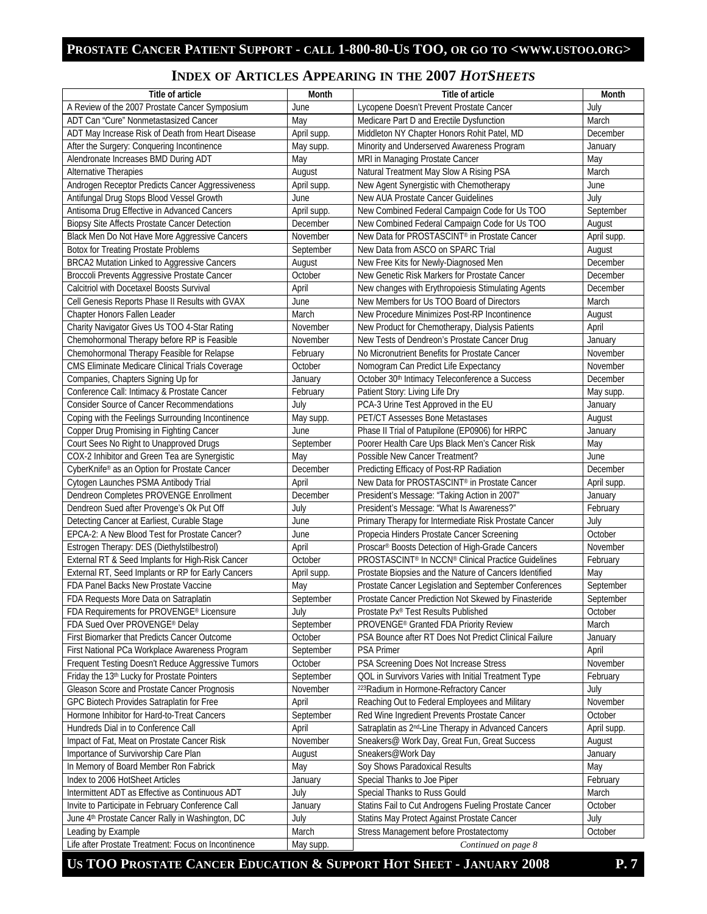# **INDEX OF ARTICLES APPEARING IN THE 2007** *HOTSHEETS*

| Title of article                                             | Month         | Title of article                                                 | Month       |
|--------------------------------------------------------------|---------------|------------------------------------------------------------------|-------------|
| A Review of the 2007 Prostate Cancer Symposium               | June          | Lycopene Doesn't Prevent Prostate Cancer                         | July        |
| ADT Can "Cure" Nonmetastasized Cancer                        | May           | Medicare Part D and Erectile Dysfunction                         | March       |
| ADT May Increase Risk of Death from Heart Disease            | April supp.   | Middleton NY Chapter Honors Rohit Patel, MD                      | December    |
| After the Surgery: Conquering Incontinence                   | May supp.     | Minority and Underserved Awareness Program                       | January     |
| Alendronate Increases BMD During ADT                         | May           | MRI in Managing Prostate Cancer                                  | May         |
| Alternative Therapies                                        | August        | Natural Treatment May Slow A Rising PSA                          | March       |
| Androgen Receptor Predicts Cancer Aggressiveness             | April supp.   | New Agent Synergistic with Chemotherapy                          | June        |
| Antifungal Drug Stops Blood Vessel Growth                    | June          | New AUA Prostate Cancer Guidelines                               | July        |
| Antisoma Drug Effective in Advanced Cancers                  | April supp.   | New Combined Federal Campaign Code for Us TOO                    | September   |
| Biopsy Site Affects Prostate Cancer Detection                | December      | New Combined Federal Campaign Code for Us TOO                    | August      |
| Black Men Do Not Have More Aggressive Cancers                | November      | New Data for PROSTASCINT® in Prostate Cancer                     | April supp. |
| <b>Botox for Treating Prostate Problems</b>                  | September     | New Data from ASCO on SPARC Trial                                | August      |
| BRCA2 Mutation Linked to Aggressive Cancers                  | August        | New Free Kits for Newly-Diagnosed Men                            | December    |
| Broccoli Prevents Aggressive Prostate Cancer                 | October       | New Genetic Risk Markers for Prostate Cancer                     | December    |
| Calcitriol with Docetaxel Boosts Survival                    | April         | New changes with Erythropoiesis Stimulating Agents               | December    |
| Cell Genesis Reports Phase II Results with GVAX              | June          | New Members for Us TOO Board of Directors                        | March       |
| Chapter Honors Fallen Leader                                 | March         | New Procedure Minimizes Post-RP Incontinence                     | August      |
| Charity Navigator Gives Us TOO 4-Star Rating                 | November      | New Product for Chemotherapy, Dialysis Patients                  | April       |
| Chemohormonal Therapy before RP is Feasible                  | November      | New Tests of Dendreon's Prostate Cancer Drug                     | January     |
| Chemohormonal Therapy Feasible for Relapse                   | February      | No Micronutrient Benefits for Prostate Cancer                    | November    |
| CMS Eliminate Medicare Clinical Trials Coverage              | October       | Nomogram Can Predict Life Expectancy                             | November    |
| Companies, Chapters Signing Up for                           | January       | October 30th Intimacy Teleconference a Success                   | December    |
| Conference Call: Intimacy & Prostate Cancer                  | February      | Patient Story: Living Life Dry                                   | May supp.   |
| <b>Consider Source of Cancer Recommendations</b>             | July          | PCA-3 Urine Test Approved in the EU                              | January     |
| Coping with the Feelings Surrounding Incontinence            | May supp.     | PET/CT Assesses Bone Metastases                                  | August      |
| Copper Drug Promising in Fighting Cancer                     | June          | Phase II Trial of Patupilone (EP0906) for HRPC                   | January     |
| Court Sees No Right to Unapproved Drugs                      | September     | Poorer Health Care Ups Black Men's Cancer Risk                   | May         |
| COX-2 Inhibitor and Green Tea are Synergistic                | May           | Possible New Cancer Treatment?                                   | June        |
| CyberKnife® as an Option for Prostate Cancer                 | December      | Predicting Efficacy of Post-RP Radiation                         | December    |
| Cytogen Launches PSMA Antibody Trial                         | April         | New Data for PROSTASCINT® in Prostate Cancer                     | April supp. |
| Dendreon Completes PROVENGE Enrollment                       | December      | President's Message: "Taking Action in 2007"                     | January     |
| Dendreon Sued after Provenge's Ok Put Off                    | July          | President's Message: "What Is Awareness?"                        | February    |
| Detecting Cancer at Earliest, Curable Stage                  | June          | Primary Therapy for Intermediate Risk Prostate Cancer            | July        |
| EPCA-2: A New Blood Test for Prostate Cancer?                |               | Propecia Hinders Prostate Cancer Screening                       | October     |
|                                                              | June<br>April | Proscar® Boosts Detection of High-Grade Cancers                  | November    |
| Estrogen Therapy: DES (Diethylstilbestrol)                   |               |                                                                  |             |
| External RT & Seed Implants for High-Risk Cancer             | October       | PROSTASCINT <sup>®</sup> In NCCN® Clinical Practice Guidelines   | February    |
| External RT, Seed Implants or RP for Early Cancers           | April supp.   | Prostate Biopsies and the Nature of Cancers Identified           | May         |
| FDA Panel Backs New Prostate Vaccine                         | May           | Prostate Cancer Legislation and September Conferences            | September   |
| FDA Requests More Data on Satraplatin                        | September     | Prostate Cancer Prediction Not Skewed by Finasteride             | September   |
| FDA Requirements for PROVENGE® Licensure                     | July          | Prostate Px® Test Results Published                              | October     |
| FDA Sued Over PROVENGE® Delay                                | September     | PROVENGE <sup>®</sup> Granted FDA Priority Review                | March       |
| First Biomarker that Predicts Cancer Outcome                 | October       | PSA Bounce after RT Does Not Predict Clinical Failure            | January     |
| First National PCa Workplace Awareness Program               | September     | <b>PSA Primer</b>                                                | April       |
| Frequent Testing Doesn't Reduce Aggressive Tumors            | October       | PSA Screening Does Not Increase Stress                           | November    |
| Friday the 13th Lucky for Prostate Pointers                  | September     | QOL in Survivors Varies with Initial Treatment Type              | February    |
| Gleason Score and Prostate Cancer Prognosis                  | November      | 223 Radium in Hormone-Refractory Cancer                          | July        |
| GPC Biotech Provides Satraplatin for Free                    | April         | Reaching Out to Federal Employees and Military                   | November    |
| Hormone Inhibitor for Hard-to-Treat Cancers                  | September     | Red Wine Ingredient Prevents Prostate Cancer                     | October     |
| Hundreds Dial in to Conference Call                          | April         | Satraplatin as 2 <sup>nd</sup> -Line Therapy in Advanced Cancers | April supp. |
| Impact of Fat, Meat on Prostate Cancer Risk                  | November      | Sneakers@ Work Day, Great Fun, Great Success                     | August      |
| Importance of Survivorship Care Plan                         | August        | Sneakers@Work Day                                                | January     |
| In Memory of Board Member Ron Fabrick                        | May           | Soy Shows Paradoxical Results                                    | May         |
| Index to 2006 HotSheet Articles                              | January       | Special Thanks to Joe Piper                                      | February    |
| Intermittent ADT as Effective as Continuous ADT              | July          | Special Thanks to Russ Gould                                     | March       |
| Invite to Participate in February Conference Call            | January       | Statins Fail to Cut Androgens Fueling Prostate Cancer            | October     |
| June 4 <sup>th</sup> Prostate Cancer Rally in Washington, DC | July          | Statins May Protect Against Prostate Cancer                      | July        |
| Leading by Example                                           | March         | Stress Management before Prostatectomy                           | October     |
| Life after Prostate Treatment: Focus on Incontinence         | May supp.     | Continued on page 8                                              |             |

# US TOO PROSTATE CANCER EDUCATION & SUPPORT HOT SHEET - JANUARY 2008 P. 7